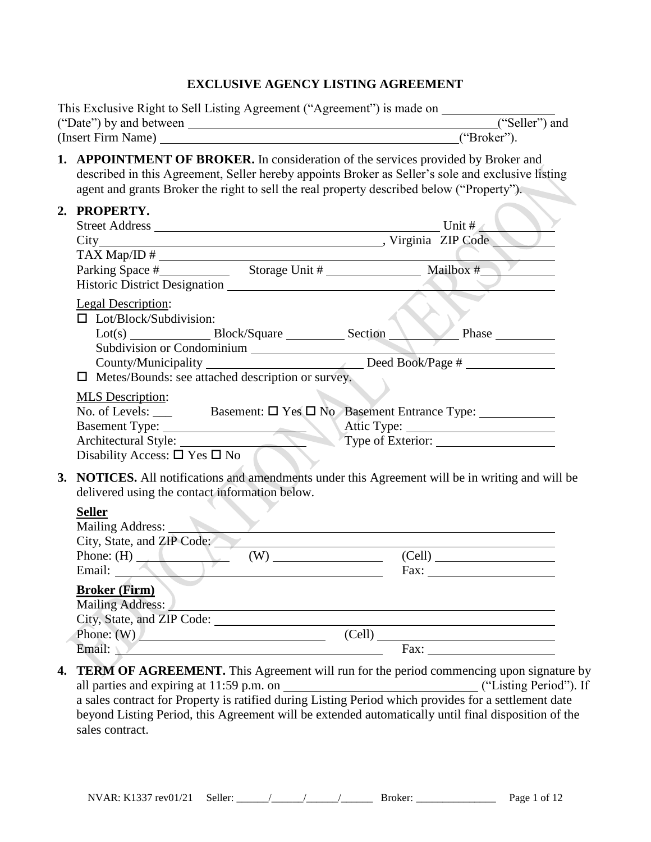#### **EXCLUSIVE AGENCY LISTING AGREEMENT**

|    | This Exclusive Right to Sell Listing Agreement ("Agreement") is made on                                                                                                                                                                                                                    |
|----|--------------------------------------------------------------------------------------------------------------------------------------------------------------------------------------------------------------------------------------------------------------------------------------------|
|    | ("Seller") and                                                                                                                                                                                                                                                                             |
|    | ("Broker").                                                                                                                                                                                                                                                                                |
|    | <b>1. APPOINTMENT OF BROKER.</b> In consideration of the services provided by Broker and<br>described in this Agreement, Seller hereby appoints Broker as Seller's sole and exclusive listing<br>agent and grants Broker the right to sell the real property described below ("Property"). |
|    | 2. PROPERTY.                                                                                                                                                                                                                                                                               |
|    | Parking Space # Storage Unit # Mailbox # Mailbox #<br>$\sim$ 1 $\sim$                                                                                                                                                                                                                      |
|    | <b>Legal Description:</b><br>$\Box$ Lot/Block/Subdivision:<br>Subdivision or Condominium<br>County/Municipality ___________________________________Deed Book/Page # ____________________________<br>$\Box$ Metes/Bounds: see attached description or survey.                               |
|    | <b>MLS</b> Description:<br>Disability Access: $\square$ Yes $\square$ No                                                                                                                                                                                                                   |
| 3. | NOTICES. All notifications and amendments under this Agreement will be in writing and will be<br>delivered using the contact information below.                                                                                                                                            |
|    | <b>Seller</b><br>Mailing Address:<br>City, State, and ZIP Code:                                                                                                                                                                                                                            |
|    | Phone: $(H)$<br>(Cell)                                                                                                                                                                                                                                                                     |
|    | Email:<br>Fax:                                                                                                                                                                                                                                                                             |
|    | <b>Broker (Firm)</b><br>Mailing Address:<br><u> 1989 - Johann Barn, mars ann an t-Amhain an t-Amhain ann an t-Amhain an t-Amhain an t-Amhain an t-Amhain ann </u>                                                                                                                          |
|    | $\left( \text{Cell} \right)$<br>Phone: $(W)$                                                                                                                                                                                                                                               |
|    | Email:<br>Fax: $\qquad \qquad \qquad$                                                                                                                                                                                                                                                      |
| 4. | TERM OF AGREEMENT. This Agreement will run for the period commencing upon signature by                                                                                                                                                                                                     |

beyond Listing Period, this Agreement will be extended automatically until final disposition of the sales contract.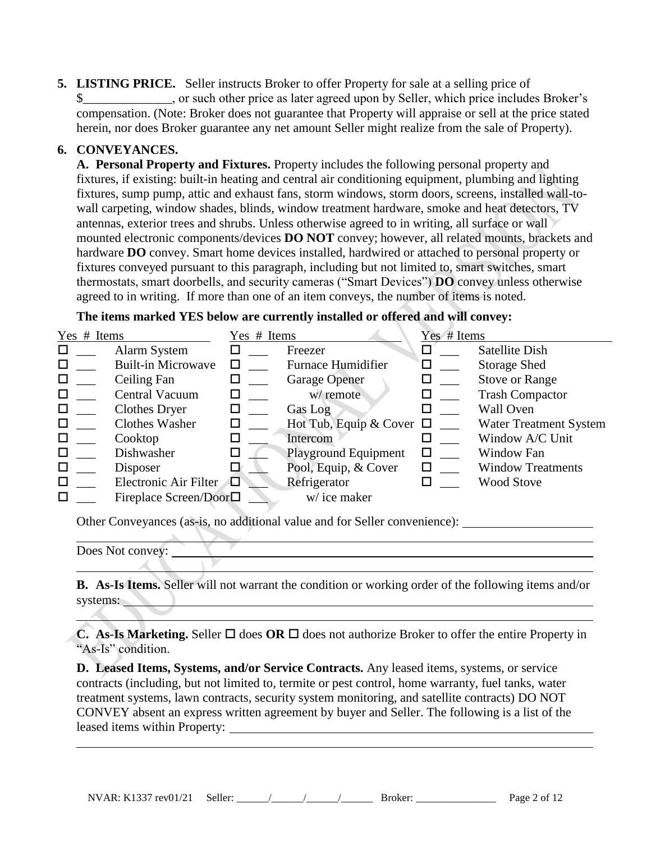**5. LISTING PRICE.** Seller instructs Broker to offer Property for sale at a selling price of \$\_\_\_\_\_\_\_\_\_\_\_\_\_\_, or such other price as later agreed upon by Seller, which price includes Broker's compensation. (Note: Broker does not guarantee that Property will appraise or sell at the price stated herein, nor does Broker guarantee any net amount Seller might realize from the sale of Property).

#### **6. CONVEYANCES.**

**A. Personal Property and Fixtures.** Property includes the following personal property and fixtures, if existing: built-in heating and central air conditioning equipment, plumbing and lighting fixtures, sump pump, attic and exhaust fans, storm windows, storm doors, screens, installed wall-towall carpeting, window shades, blinds, window treatment hardware, smoke and heat detectors, TV antennas, exterior trees and shrubs. Unless otherwise agreed to in writing, all surface or wall mounted electronic components/devices **DO NOT** convey; however, all related mounts, brackets and hardware **DO** convey. Smart home devices installed, hardwired or attached to personal property or fixtures conveyed pursuant to this paragraph, including but not limited to, smart switches, smart thermostats, smart doorbells, and security cameras ("Smart Devices") **DO** convey unless otherwise agreed to in writing. If more than one of an item conveys, the number of items is noted.

**The items marked YES below are currently installed or offered and will convey:**

| Yes # Items |                                 | Yes # Items |                               | Yes # Items |                               |
|-------------|---------------------------------|-------------|-------------------------------|-------------|-------------------------------|
| □           | Alarm System                    |             | Freezer                       |             | Satellite Dish                |
|             | <b>Built-in Microwave</b>       |             | <b>Furnace Humidifier</b>     |             | <b>Storage Shed</b>           |
| □           | Ceiling Fan                     |             | <b>Garage Opener</b>          |             | <b>Stove or Range</b>         |
| □           | Central Vacuum                  |             | w/ remote                     |             | <b>Trash Compactor</b>        |
| ◻           | <b>Clothes Dryer</b>            |             | Gas Log                       |             | Wall Oven                     |
| □           | <b>Clothes Washer</b>           |             | Hot Tub, Equip & Cover $\Box$ |             | <b>Water Treatment System</b> |
| □           | Cooktop                         |             | Intercom                      |             | Window A/C Unit               |
| □           | Dishwasher                      |             | <b>Playground Equipment</b>   | □           | Window Fan                    |
| □           | Disposer                        |             | Pool, Equip, & Cover          | П           | <b>Window Treatments</b>      |
| □           | Electronic Air Filter           | 口           | Refrigerator                  |             | <b>Wood Stove</b>             |
| $\Box$      | Fireplace Screen/Door $\square$ |             | w/ice maker                   |             |                               |

Other Conveyances (as-is, no additional value and for Seller convenience):

Does Not convey:

**B. As-Is Items.** Seller will not warrant the condition or working order of the following items and/or systems:

<u>e de la componentación de la componentación de la componentación de la componentación de la componentación de</u>

**C. As-Is Marketing.** Seller  $\Box$  does **OR**  $\Box$  does not authorize Broker to offer the entire Property in "As-Is" condition.

**D. Leased Items, Systems, and/or Service Contracts.** Any leased items, systems, or service contracts (including, but not limited to, termite or pest control, home warranty, fuel tanks, water treatment systems, lawn contracts, security system monitoring, and satellite contracts) DO NOT CONVEY absent an express written agreement by buyer and Seller. The following is a list of the leased items within Property:

NVAR: K1337 rev01/21 Seller: \_\_\_\_\_\_/\_\_\_\_\_\_/\_\_\_\_\_\_/\_\_\_\_\_\_ Broker: \_\_\_\_\_\_\_\_\_\_\_\_\_\_\_ Page 2 of 12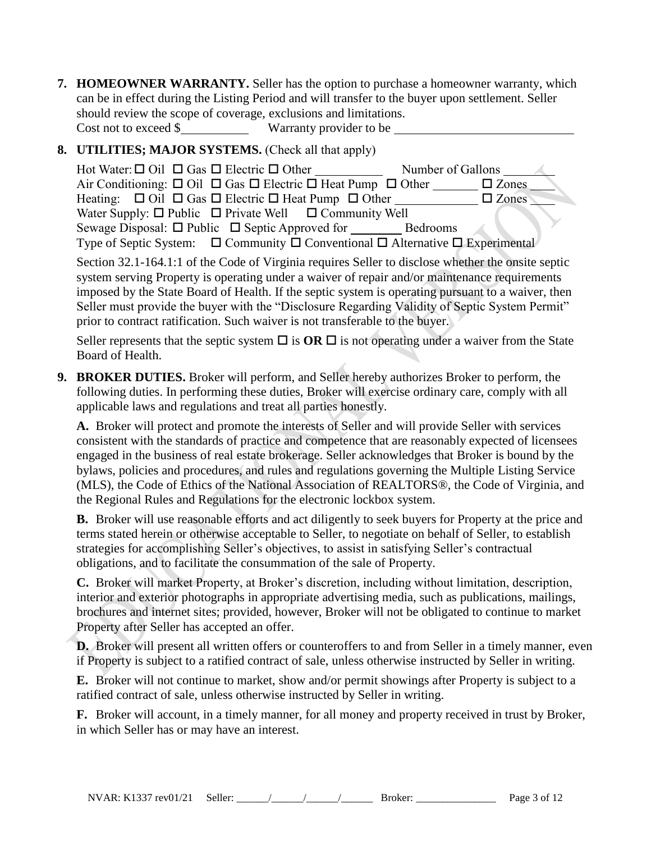**7. HOMEOWNER WARRANTY.** Seller has the option to purchase a homeowner warranty, which can be in effect during the Listing Period and will transfer to the buyer upon settlement. Seller should review the scope of coverage, exclusions and limitations.

Cost not to exceed \$ Warranty provider to be

# **8. UTILITIES; MAJOR SYSTEMS.** (Check all that apply)

| Hot Water: $\Box$ Oil $\Box$ Gas $\Box$ Electric $\Box$ Other                                                                                 | Number of Gallons |                 |
|-----------------------------------------------------------------------------------------------------------------------------------------------|-------------------|-----------------|
| Air Conditioning: $\Box$ Oil $\Box$ Gas $\Box$ Electric $\Box$ Heat Pump $\Box$ Other                                                         |                   | $\square$ Zones |
| Heating: $\Box$ Oil $\Box$ Gas $\Box$ Electric $\Box$ Heat Pump $\Box$ Other ______                                                           |                   | $\square$ Zones |
| Water Supply: $\Box$ Public $\Box$ Private Well $\Box$ Community Well                                                                         |                   |                 |
|                                                                                                                                               |                   |                 |
| Type of Septic System: $\Box$ Community $\Box$ Conventional $\Box$ Alternative $\Box$ Experimental                                            |                   |                 |
| $\Omega$ , at an $\Omega$ 1.174.1.1 of the $\Omega$ of a cof $M$ activity as a fine $\Omega$ . Hence it is a finite of the state of a control |                   |                 |

Section 32.1-164.1:1 of the Code of Virginia requires Seller to disclose whether the onsite septic system serving Property is operating under a waiver of repair and/or maintenance requirements imposed by the State Board of Health. If the septic system is operating pursuant to a waiver, then Seller must provide the buyer with the "Disclosure Regarding Validity of Septic System Permit" prior to contract ratification. Such waiver is not transferable to the buyer.

Seller represents that the septic system  $\Box$  is **OR**  $\Box$  is not operating under a waiver from the State Board of Health.

**9. BROKER DUTIES.** Broker will perform, and Seller hereby authorizes Broker to perform, the following duties. In performing these duties, Broker will exercise ordinary care, comply with all applicable laws and regulations and treat all parties honestly.

**A.** Broker will protect and promote the interests of Seller and will provide Seller with services consistent with the standards of practice and competence that are reasonably expected of licensees engaged in the business of real estate brokerage. Seller acknowledges that Broker is bound by the bylaws, policies and procedures, and rules and regulations governing the Multiple Listing Service (MLS), the Code of Ethics of the National Association of REALTORS®, the Code of Virginia, and the Regional Rules and Regulations for the electronic lockbox system.

**B.** Broker will use reasonable efforts and act diligently to seek buyers for Property at the price and terms stated herein or otherwise acceptable to Seller, to negotiate on behalf of Seller, to establish strategies for accomplishing Seller's objectives, to assist in satisfying Seller's contractual obligations, and to facilitate the consummation of the sale of Property.

**C.** Broker will market Property, at Broker's discretion, including without limitation, description, interior and exterior photographs in appropriate advertising media, such as publications, mailings, brochures and internet sites; provided, however, Broker will not be obligated to continue to market Property after Seller has accepted an offer.

**D.** Broker will present all written offers or counteroffers to and from Seller in a timely manner, even if Property is subject to a ratified contract of sale, unless otherwise instructed by Seller in writing.

**E.** Broker will not continue to market, show and/or permit showings after Property is subject to a ratified contract of sale, unless otherwise instructed by Seller in writing.

**F.** Broker will account, in a timely manner, for all money and property received in trust by Broker, in which Seller has or may have an interest.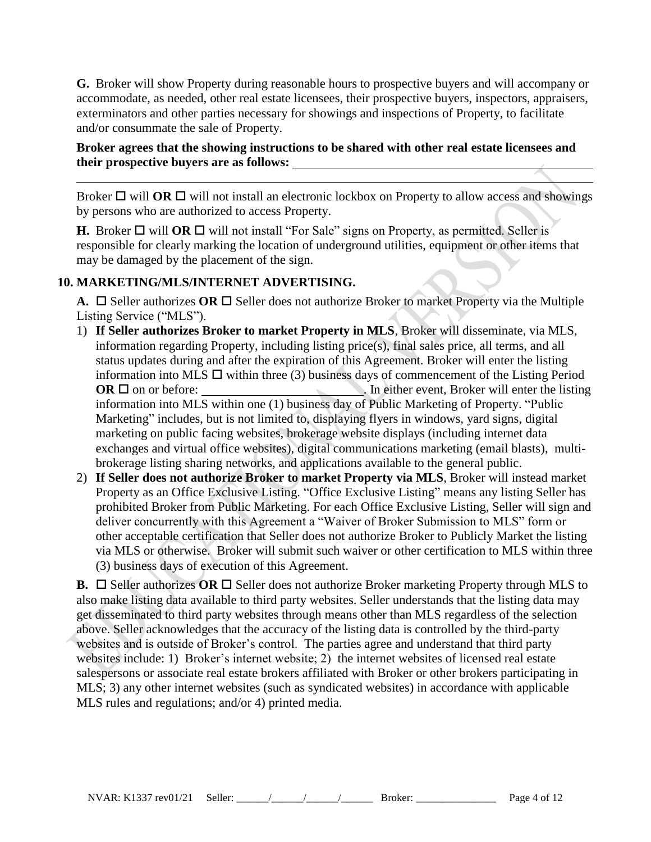**G.** Broker will show Property during reasonable hours to prospective buyers and will accompany or accommodate, as needed, other real estate licensees, their prospective buyers, inspectors, appraisers, exterminators and other parties necessary for showings and inspections of Property, to facilitate and/or consummate the sale of Property.

#### **Broker agrees that the showing instructions to be shared with other real estate licensees and their prospective buyers are as follows:**

Broker  $\Box$  will **OR**  $\Box$  will not install an electronic lockbox on Property to allow access and showings by persons who are authorized to access Property.

**H.** Broker  $\Box$  will **OR**  $\Box$  will not install "For Sale" signs on Property, as permitted. Seller is responsible for clearly marking the location of underground utilities, equipment or other items that may be damaged by the placement of the sign.

# **10. MARKETING/MLS/INTERNET ADVERTISING.**

**A.**  $\Box$  Seller authorizes **OR**  $\Box$  Seller does not authorize Broker to market Property via the Multiple Listing Service ("MLS").

- 1) **If Seller authorizes Broker to market Property in MLS**, Broker will disseminate, via MLS, information regarding Property, including listing price(s), final sales price, all terms, and all status updates during and after the expiration of this Agreement. Broker will enter the listing information into MLS  $\Box$  within three (3) business days of commencement of the Listing Period **OR**  $\Box$  on or before:  $\Box$  **In either event, Broker will enter the listing** information into MLS within one (1) business day of Public Marketing of Property. "Public Marketing" includes, but is not limited to, displaying flyers in windows, yard signs, digital marketing on public facing websites, brokerage website displays (including internet data exchanges and virtual office websites), digital communications marketing (email blasts), multibrokerage listing sharing networks, and applications available to the general public.
- 2) **If Seller does not authorize Broker to market Property via MLS**, Broker will instead market Property as an Office Exclusive Listing. "Office Exclusive Listing" means any listing Seller has prohibited Broker from Public Marketing. For each Office Exclusive Listing, Seller will sign and deliver concurrently with this Agreement a "Waiver of Broker Submission to MLS" form or other acceptable certification that Seller does not authorize Broker to Publicly Market the listing via MLS or otherwise. Broker will submit such waiver or other certification to MLS within three (3) business days of execution of this Agreement.

**B.**  $\Box$  Seller authorizes OR  $\Box$  Seller does not authorize Broker marketing Property through MLS to also make listing data available to third party websites. Seller understands that the listing data may get disseminated to third party websites through means other than MLS regardless of the selection above. Seller acknowledges that the accuracy of the listing data is controlled by the third-party websites and is outside of Broker's control. The parties agree and understand that third party websites include: 1) Broker's internet website; 2) the internet websites of licensed real estate salespersons or associate real estate brokers affiliated with Broker or other brokers participating in MLS; 3) any other internet websites (such as syndicated websites) in accordance with applicable MLS rules and regulations; and/or 4) printed media.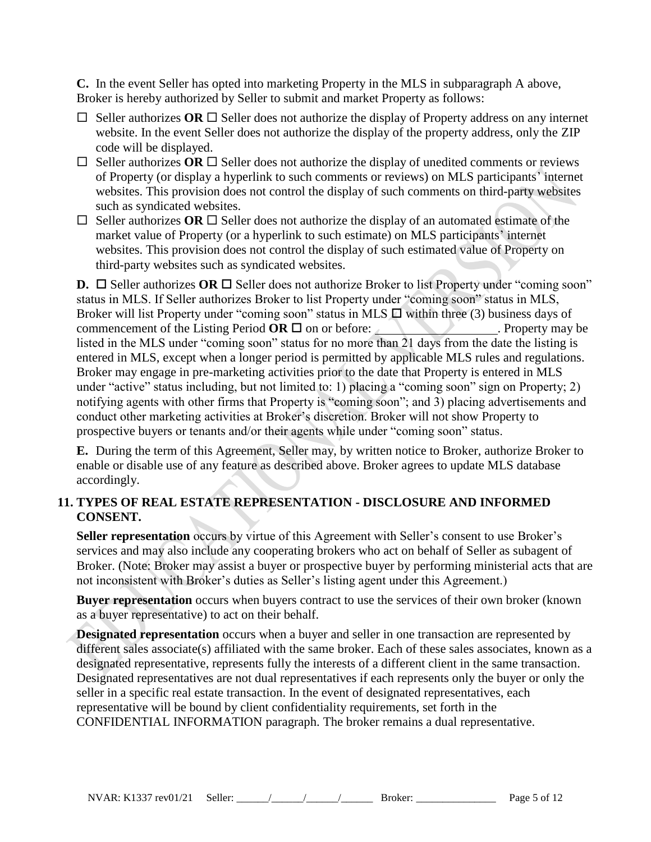**C.** In the event Seller has opted into marketing Property in the MLS in subparagraph A above, Broker is hereby authorized by Seller to submit and market Property as follows:

- $\Box$  Seller authorizes OR  $\Box$  Seller does not authorize the display of Property address on any internet website. In the event Seller does not authorize the display of the property address, only the ZIP code will be displayed.
- $\Box$  Seller authorizes OR  $\Box$  Seller does not authorize the display of unedited comments or reviews of Property (or display a hyperlink to such comments or reviews) on MLS participants' internet websites. This provision does not control the display of such comments on third-party websites such as syndicated websites.
- $\Box$  Seller authorizes OR  $\Box$  Seller does not authorize the display of an automated estimate of the market value of Property (or a hyperlink to such estimate) on MLS participants' internet websites. This provision does not control the display of such estimated value of Property on third-party websites such as syndicated websites.

**D.**  $\Box$  Seller authorizes OR  $\Box$  Seller does not authorize Broker to list Property under "coming soon" status in MLS. If Seller authorizes Broker to list Property under "coming soon" status in MLS, Broker will list Property under "coming soon" status in MLS  $\Box$  within three (3) business days of commencement of the Listing Period  $\overline{OR} \square$  on or before: . Property may be listed in the MLS under "coming soon" status for no more than 21 days from the date the listing is entered in MLS, except when a longer period is permitted by applicable MLS rules and regulations. Broker may engage in pre-marketing activities prior to the date that Property is entered in MLS under "active" status including, but not limited to: 1) placing a "coming soon" sign on Property; 2) notifying agents with other firms that Property is "coming soon"; and 3) placing advertisements and conduct other marketing activities at Broker's discretion. Broker will not show Property to prospective buyers or tenants and/or their agents while under "coming soon" status.

**E.** During the term of this Agreement, Seller may, by written notice to Broker, authorize Broker to enable or disable use of any feature as described above. Broker agrees to update MLS database accordingly.

## **11. TYPES OF REAL ESTATE REPRESENTATION - DISCLOSURE AND INFORMED CONSENT.**

**Seller representation** occurs by virtue of this Agreement with Seller's consent to use Broker's services and may also include any cooperating brokers who act on behalf of Seller as subagent of Broker. (Note: Broker may assist a buyer or prospective buyer by performing ministerial acts that are not inconsistent with Broker's duties as Seller's listing agent under this Agreement.)

**Buyer representation** occurs when buyers contract to use the services of their own broker (known as a buyer representative) to act on their behalf.

**Designated representation** occurs when a buyer and seller in one transaction are represented by different sales associate(s) affiliated with the same broker. Each of these sales associates, known as a designated representative, represents fully the interests of a different client in the same transaction. Designated representatives are not dual representatives if each represents only the buyer or only the seller in a specific real estate transaction. In the event of designated representatives, each representative will be bound by client confidentiality requirements, set forth in the CONFIDENTIAL INFORMATION paragraph. The broker remains a dual representative.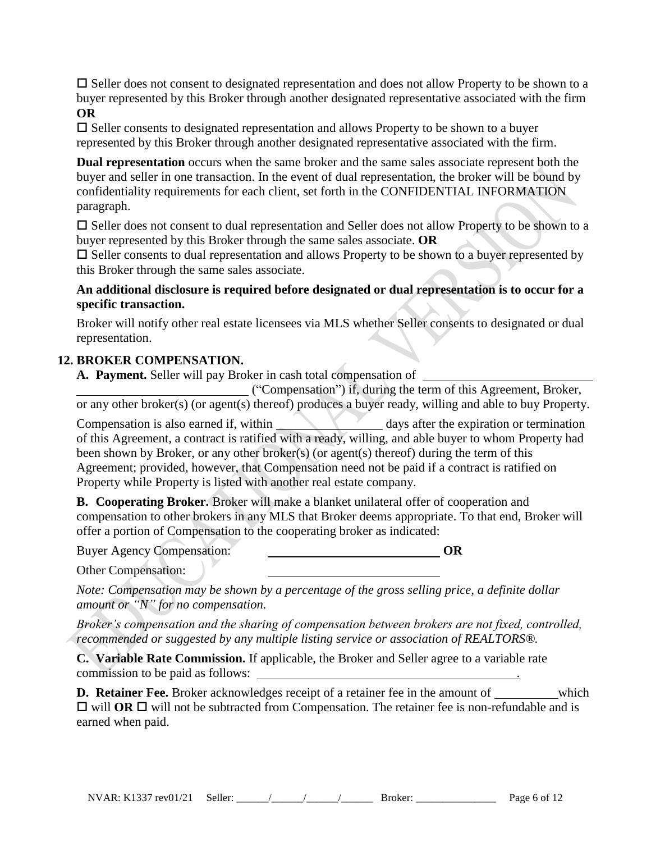$\square$  Seller does not consent to designated representation and does not allow Property to be shown to a buyer represented by this Broker through another designated representative associated with the firm **OR**

 $\square$  Seller consents to designated representation and allows Property to be shown to a buyer represented by this Broker through another designated representative associated with the firm.

**Dual representation** occurs when the same broker and the same sales associate represent both the buyer and seller in one transaction. In the event of dual representation, the broker will be bound by confidentiality requirements for each client, set forth in the CONFIDENTIAL INFORMATION paragraph.

 $\square$  Seller does not consent to dual representation and Seller does not allow Property to be shown to a buyer represented by this Broker through the same sales associate. **OR**

 $\square$  Seller consents to dual representation and allows Property to be shown to a buyer represented by this Broker through the same sales associate.

## **An additional disclosure is required before designated or dual representation is to occur for a specific transaction.**

Broker will notify other real estate licensees via MLS whether Seller consents to designated or dual representation.

## **12. BROKER COMPENSATION.**

**A. Payment.** Seller will pay Broker in cash total compensation of

("Compensation") if, during the term of this Agreement, Broker, or any other broker(s) (or agent(s) thereof) produces a buyer ready, willing and able to buy Property.

Compensation is also earned if, within days after the expiration or termination of this Agreement, a contract is ratified with a ready, willing, and able buyer to whom Property had been shown by Broker, or any other broker(s) (or agent(s) thereof) during the term of this Agreement; provided, however, that Compensation need not be paid if a contract is ratified on Property while Property is listed with another real estate company.

**B. Cooperating Broker.** Broker will make a blanket unilateral offer of cooperation and compensation to other brokers in any MLS that Broker deems appropriate. To that end, Broker will offer a portion of Compensation to the cooperating broker as indicated:

Buyer Agency Compensation: **OR**

Other Compensation:

*Note: Compensation may be shown by a percentage of the gross selling price, a definite dollar amount or "N" for no compensation.*

*Broker's compensation and the sharing of compensation between brokers are not fixed, controlled, recommended or suggested by any multiple listing service or association of REALTORS®.*

**C. Variable Rate Commission.** If applicable, the Broker and Seller agree to a variable rate commission to be paid as follows: .

**D. Retainer Fee.** Broker acknowledges receipt of a retainer fee in the amount of which  $\Box$  will **OR**  $\Box$  will not be subtracted from Compensation. The retainer fee is non-refundable and is earned when paid.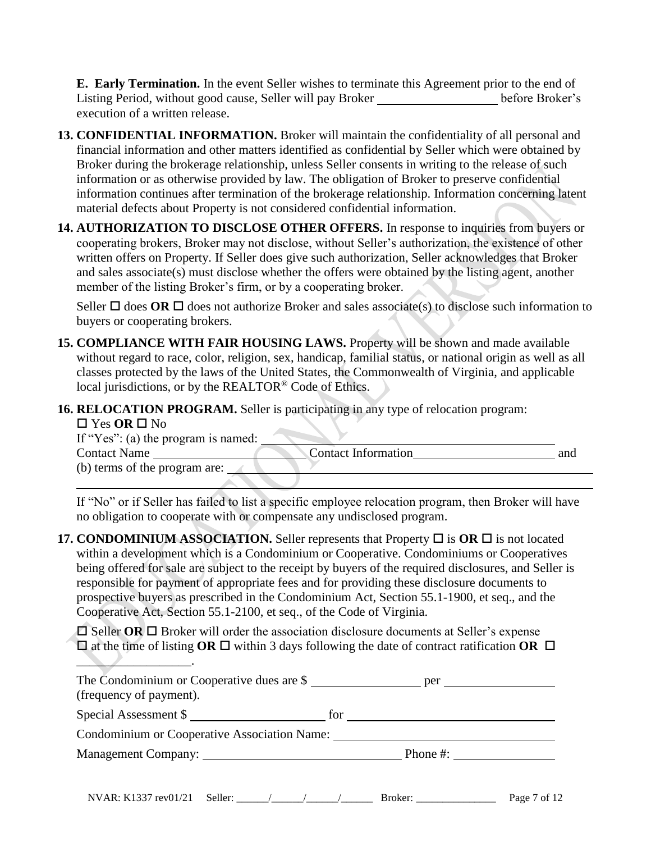**E. Early Termination.** In the event Seller wishes to terminate this Agreement prior to the end of Listing Period, without good cause, Seller will pay Broker help before Broker's execution of a written release.

- **13. CONFIDENTIAL INFORMATION.** Broker will maintain the confidentiality of all personal and financial information and other matters identified as confidential by Seller which were obtained by Broker during the brokerage relationship, unless Seller consents in writing to the release of such information or as otherwise provided by law. The obligation of Broker to preserve confidential information continues after termination of the brokerage relationship. Information concerning latent material defects about Property is not considered confidential information.
- **14. AUTHORIZATION TO DISCLOSE OTHER OFFERS.** In response to inquiries from buyers or cooperating brokers, Broker may not disclose, without Seller's authorization, the existence of other written offers on Property. If Seller does give such authorization, Seller acknowledges that Broker and sales associate(s) must disclose whether the offers were obtained by the listing agent, another member of the listing Broker's firm, or by a cooperating broker.

Seller  $\Box$  does **OR**  $\Box$  does not authorize Broker and sales associate(s) to disclose such information to buyers or cooperating brokers.

- **15. COMPLIANCE WITH FAIR HOUSING LAWS.** Property will be shown and made available without regard to race, color, religion, sex, handicap, familial status, or national origin as well as all classes protected by the laws of the United States, the Commonwealth of Virginia, and applicable local jurisdictions, or by the REALTOR® Code of Ethics.
- **16. RELOCATION PROGRAM.** Seller is participating in any type of relocation program:

#### $\Box$  Yes **OR**  $\Box$  No

If "Yes": (a) the program is named:

Contact Name Contact Information and

(b) terms of the program are:

 $\overline{\phantom{a}}$  . The set of the set of the set of the set of the set of the set of the set of the set of the set of the set of the set of the set of the set of the set of the set of the set of the set of the set of the set o

If "No" or if Seller has failed to list a specific employee relocation program, then Broker will have no obligation to cooperate with or compensate any undisclosed program.

**17. CONDOMINIUM ASSOCIATION.** Seller represents that Property  $\Box$  is **OR**  $\Box$  is not located within a development which is a Condominium or Cooperative. Condominiums or Cooperatives being offered for sale are subject to the receipt by buyers of the required disclosures, and Seller is responsible for payment of appropriate fees and for providing these disclosure documents to prospective buyers as prescribed in the Condominium Act, Section 55.1-1900, et seq., and the Cooperative Act, Section 55.1-2100, et seq., of the Code of Virginia.

 $\Box$  Seller **OR**  $\Box$  Broker will order the association disclosure documents at Seller's expense  $\Box$  at the time of listing **OR**  $\Box$  within 3 days following the date of contract ratification **OR**  $\Box$ 

| The Condominium or Cooperative dues are $\$ per |                                 |
|-------------------------------------------------|---------------------------------|
| (frequency of payment).                         |                                 |
| Special Assessment \$                           | for                             |
| Condominium or Cooperative Association Name:    |                                 |
| Management Company:                             | Phone #: $\qquad \qquad \qquad$ |
|                                                 |                                 |
|                                                 |                                 |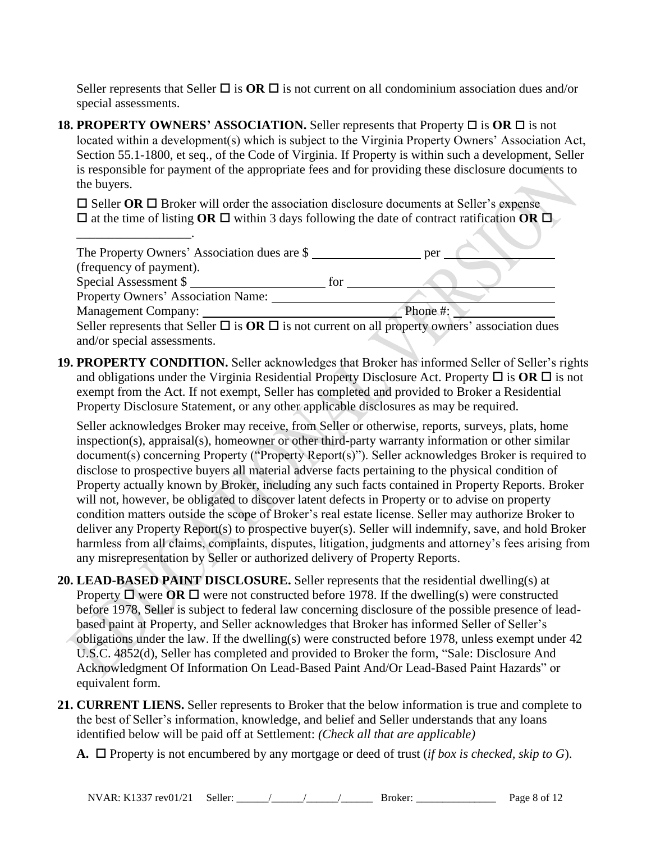Seller represents that Seller  $\Box$  is  $\overline{OR} \Box$  is not current on all condominium association dues and/or special assessments.

**18. PROPERTY OWNERS' ASSOCIATION.** Seller represents that Property  $\Box$  is  $\overline{OR} \Box$  is not located within a development(s) which is subject to the Virginia Property Owners' Association Act, Section 55.1-1800, et seq., of the Code of Virginia. If Property is within such a development, Seller is responsible for payment of the appropriate fees and for providing these disclosure documents to the buyers.

 $\Box$  Seller **OR**  $\Box$  Broker will order the association disclosure documents at Seller's expense  $\Box$  at the time of listing **OR**  $\Box$  within 3 days following the date of contract ratification **OR**  $\Box$ 

\_\_\_\_\_\_\_\_\_\_\_\_\_\_\_\_\_\_.

| The Property Owners' Association dues are \$                                                              |     | per      |
|-----------------------------------------------------------------------------------------------------------|-----|----------|
| (frequency of payment).                                                                                   |     |          |
| Special Assessment \$                                                                                     | for |          |
| Property Owners' Association Name:                                                                        |     |          |
| <b>Management Company:</b>                                                                                |     | Phone #: |
| Seller represents that Seller $\Box$ is $OR \Box$ is not current on all property owners' association dues |     |          |
| and/or special assessments.                                                                               |     |          |

**19. PROPERTY CONDITION.** Seller acknowledges that Broker has informed Seller of Seller's rights and obligations under the Virginia Residential Property Disclosure Act. Property  $\Box$  is  $\overline{OR} \Box$  is not exempt from the Act. If not exempt, Seller has completed and provided to Broker a Residential Property Disclosure Statement, or any other applicable disclosures as may be required.

Seller acknowledges Broker may receive, from Seller or otherwise, reports, surveys, plats, home inspection(s), appraisal(s), homeowner or other third-party warranty information or other similar document(s) concerning Property ("Property Report(s)"). Seller acknowledges Broker is required to disclose to prospective buyers all material adverse facts pertaining to the physical condition of Property actually known by Broker, including any such facts contained in Property Reports. Broker will not, however, be obligated to discover latent defects in Property or to advise on property condition matters outside the scope of Broker's real estate license. Seller may authorize Broker to deliver any Property Report(s) to prospective buyer(s). Seller will indemnify, save, and hold Broker harmless from all claims, complaints, disputes, litigation, judgments and attorney's fees arising from any misrepresentation by Seller or authorized delivery of Property Reports.

- **20. LEAD-BASED PAINT DISCLOSURE.** Seller represents that the residential dwelling(s) at Property  $\Box$  were  $\Box$ R  $\Box$  were not constructed before 1978. If the dwelling(s) were constructed before 1978, Seller is subject to federal law concerning disclosure of the possible presence of leadbased paint at Property, and Seller acknowledges that Broker has informed Seller of Seller's obligations under the law. If the dwelling(s) were constructed before 1978, unless exempt under 42 U.S.C. 4852(d), Seller has completed and provided to Broker the form, "Sale: Disclosure And Acknowledgment Of Information On Lead-Based Paint And/Or Lead-Based Paint Hazards" or equivalent form.
- **21. CURRENT LIENS.** Seller represents to Broker that the below information is true and complete to the best of Seller's information, knowledge, and belief and Seller understands that any loans identified below will be paid off at Settlement: *(Check all that are applicable)*
	- **A.**  $\Box$  Property is not encumbered by any mortgage or deed of trust (*if box is checked, skip to G*).

NVAR: K1337 rev01/21 Seller: \_\_\_\_\_\_/\_\_\_\_\_\_/\_\_\_\_\_\_/\_\_\_\_\_\_ Broker: \_\_\_\_\_\_\_\_\_\_\_\_\_\_\_ Page 8 of 12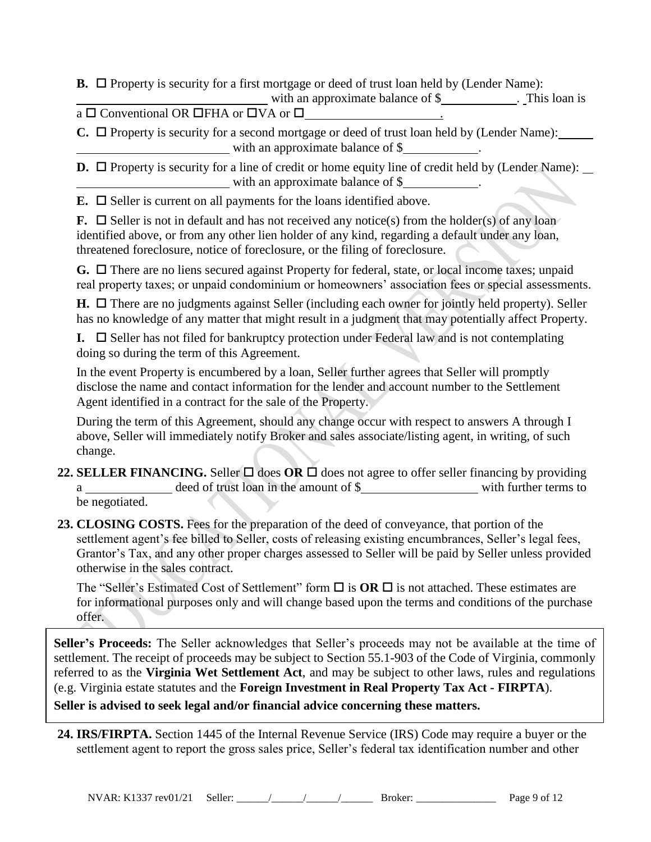**B.**  $\Box$  Property is security for a first mortgage or deed of trust loan held by (Lender Name):

with an approximate balance of \$ . This loan is  $\overline{a}$   $\Box$  Conventional OR  $\overline{\Box}$  FHA or  $\overline{\Box}$   $\overline{V}$   $\overline{A}$  or  $\overline{\Box}$   $\overline{V}$  .

 $C. \Box$  Property is security for a second mortgage or deed of trust loan held by (Lender Name): with an approximate balance of \$

**D.**  $\Box$  Property is security for a line of credit or home equity line of credit held by (Lender Name): with an approximate balance of \$

**E.**  $\Box$  Seller is current on all payments for the loans identified above.

**F.**  $\Box$  Seller is not in default and has not received any notice(s) from the holder(s) of any loan identified above, or from any other lien holder of any kind, regarding a default under any loan, threatened foreclosure, notice of foreclosure, or the filing of foreclosure.

G. □ There are no liens secured against Property for federal, state, or local income taxes; unpaid real property taxes; or unpaid condominium or homeowners' association fees or special assessments.

 $H. \Box$  There are no judgments against Seller (including each owner for jointly held property). Seller has no knowledge of any matter that might result in a judgment that may potentially affect Property.

**I.**  $\Box$  Seller has not filed for bankruptcy protection under Federal law and is not contemplating doing so during the term of this Agreement.

In the event Property is encumbered by a loan, Seller further agrees that Seller will promptly disclose the name and contact information for the lender and account number to the Settlement Agent identified in a contract for the sale of the Property.

During the term of this Agreement, should any change occur with respect to answers A through I above, Seller will immediately notify Broker and sales associate/listing agent, in writing, of such change.

- **22. SELLER FINANCING.** Seller  $\Box$  does OR  $\Box$  does not agree to offer seller financing by providing a \_\_\_\_\_\_\_\_\_\_\_\_\_\_ deed of trust loan in the amount of \$\_\_\_\_\_\_\_\_\_\_\_\_\_\_\_\_\_\_\_\_\_\_\_\_\_\_\_ with further terms to be negotiated.
- **23. CLOSING COSTS.** Fees for the preparation of the deed of conveyance, that portion of the settlement agent's fee billed to Seller, costs of releasing existing encumbrances, Seller's legal fees, Grantor's Tax, and any other proper charges assessed to Seller will be paid by Seller unless provided otherwise in the sales contract.

The "Seller's Estimated Cost of Settlement" form  $\Box$  is **OR**  $\Box$  is not attached. These estimates are for informational purposes only and will change based upon the terms and conditions of the purchase offer.

**Seller's Proceeds:** The Seller acknowledges that Seller's proceeds may not be available at the time of settlement. The receipt of proceeds may be subject to Section 55.1-903 of the Code of Virginia, commonly referred to as the **Virginia Wet Settlement Act**, and may be subject to other laws, rules and regulations (e.g. Virginia estate statutes and the **Foreign Investment in Real Property Tax Act - FIRPTA**). **Seller is advised to seek legal and/or financial advice concerning these matters.**

**24. IRS/FIRPTA.** Section 1445 of the Internal Revenue Service (IRS) Code may require a buyer or the settlement agent to report the gross sales price, Seller's federal tax identification number and other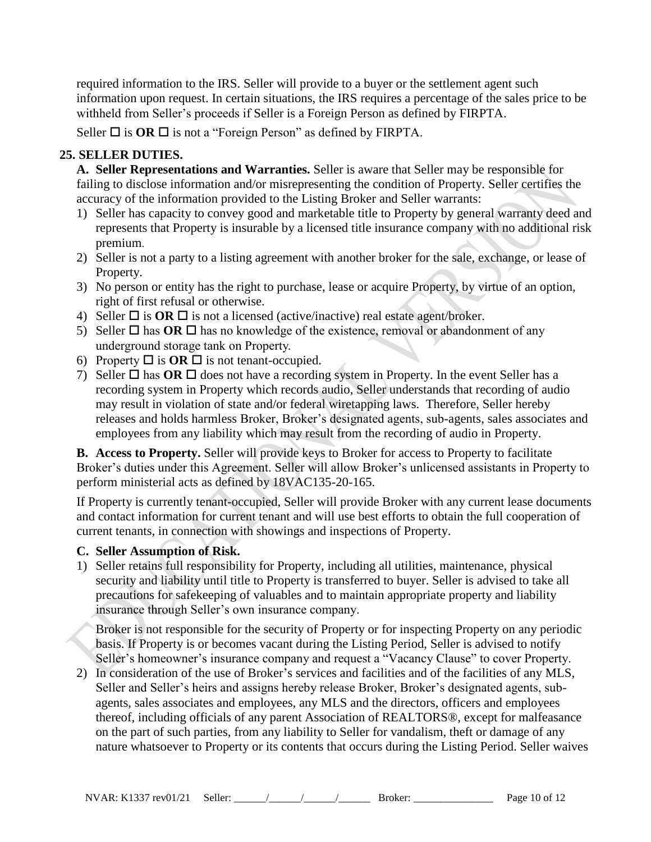required information to the IRS. Seller will provide to a buyer or the settlement agent such information upon request. In certain situations, the IRS requires a percentage of the sales price to be withheld from Seller's proceeds if Seller is a Foreign Person as defined by FIRPTA.

Seller  $\Box$  is **OR**  $\Box$  is not a "Foreign Person" as defined by FIRPTA.

## **25. SELLER DUTIES.**

**A. Seller Representations and Warranties.** Seller is aware that Seller may be responsible for failing to disclose information and/or misrepresenting the condition of Property. Seller certifies the accuracy of the information provided to the Listing Broker and Seller warrants:

- 1) Seller has capacity to convey good and marketable title to Property by general warranty deed and represents that Property is insurable by a licensed title insurance company with no additional risk premium.
- 2) Seller is not a party to a listing agreement with another broker for the sale, exchange, or lease of Property.
- 3) No person or entity has the right to purchase, lease or acquire Property, by virtue of an option, right of first refusal or otherwise.
- 4) Seller  $\Box$  is **OR**  $\Box$  is not a licensed (active/inactive) real estate agent/broker.
- 5) Seller  $\Box$  has **OR**  $\Box$  has no knowledge of the existence, removal or abandonment of any underground storage tank on Property.
- 6) Property  $\Box$  is **OR**  $\Box$  is not tenant-occupied.
- 7) Seller  $\Box$  has **OR**  $\Box$  does not have a recording system in Property. In the event Seller has a recording system in Property which records audio, Seller understands that recording of audio may result in violation of state and/or federal wiretapping laws. Therefore, Seller hereby releases and holds harmless Broker, Broker's designated agents, sub-agents, sales associates and employees from any liability which may result from the recording of audio in Property.

**B. Access to Property.** Seller will provide keys to Broker for access to Property to facilitate Broker's duties under this Agreement. Seller will allow Broker's unlicensed assistants in Property to perform ministerial acts as defined by 18VAC135-20-165.

If Property is currently tenant-occupied, Seller will provide Broker with any current lease documents and contact information for current tenant and will use best efforts to obtain the full cooperation of current tenants, in connection with showings and inspections of Property.

#### **C. Seller Assumption of Risk.**

1) Seller retains full responsibility for Property, including all utilities, maintenance, physical security and liability until title to Property is transferred to buyer. Seller is advised to take all precautions for safekeeping of valuables and to maintain appropriate property and liability insurance through Seller's own insurance company.

Broker is not responsible for the security of Property or for inspecting Property on any periodic basis. If Property is or becomes vacant during the Listing Period, Seller is advised to notify Seller's homeowner's insurance company and request a "Vacancy Clause" to cover Property.

2) In consideration of the use of Broker's services and facilities and of the facilities of any MLS, Seller and Seller's heirs and assigns hereby release Broker, Broker's designated agents, subagents, sales associates and employees, any MLS and the directors, officers and employees thereof, including officials of any parent Association of REALTORS®, except for malfeasance on the part of such parties, from any liability to Seller for vandalism, theft or damage of any nature whatsoever to Property or its contents that occurs during the Listing Period. Seller waives

NVAR: K1337 rev01/21 Seller: \_\_\_\_\_\_/\_\_\_\_\_\_/\_\_\_\_\_\_/\_\_\_\_\_\_ Broker: \_\_\_\_\_\_\_\_\_\_\_\_\_\_\_ Page 10 of 12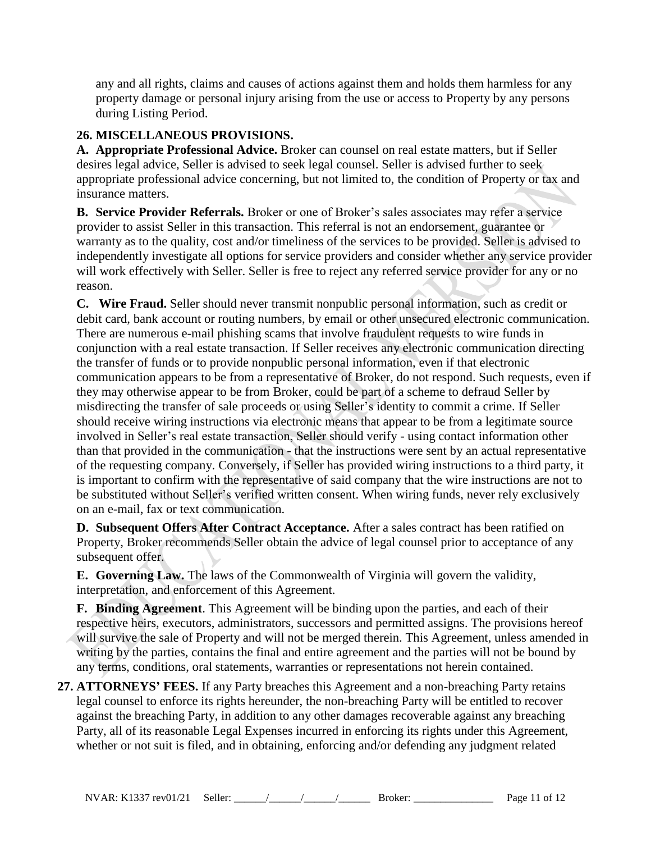any and all rights, claims and causes of actions against them and holds them harmless for any property damage or personal injury arising from the use or access to Property by any persons during Listing Period.

# **26. MISCELLANEOUS PROVISIONS.**

**A. Appropriate Professional Advice.** Broker can counsel on real estate matters, but if Seller desires legal advice, Seller is advised to seek legal counsel. Seller is advised further to seek appropriate professional advice concerning, but not limited to, the condition of Property or tax and insurance matters.

**B. Service Provider Referrals.** Broker or one of Broker's sales associates may refer a service provider to assist Seller in this transaction. This referral is not an endorsement, guarantee or warranty as to the quality, cost and/or timeliness of the services to be provided. Seller is advised to independently investigate all options for service providers and consider whether any service provider will work effectively with Seller. Seller is free to reject any referred service provider for any or no reason.

**C. Wire Fraud.** Seller should never transmit nonpublic personal information, such as credit or debit card, bank account or routing numbers, by email or other unsecured electronic communication. There are numerous e-mail phishing scams that involve fraudulent requests to wire funds in conjunction with a real estate transaction. If Seller receives any electronic communication directing the transfer of funds or to provide nonpublic personal information, even if that electronic communication appears to be from a representative of Broker, do not respond. Such requests, even if they may otherwise appear to be from Broker, could be part of a scheme to defraud Seller by misdirecting the transfer of sale proceeds or using Seller's identity to commit a crime. If Seller should receive wiring instructions via electronic means that appear to be from a legitimate source involved in Seller's real estate transaction, Seller should verify - using contact information other than that provided in the communication - that the instructions were sent by an actual representative of the requesting company. Conversely, if Seller has provided wiring instructions to a third party, it is important to confirm with the representative of said company that the wire instructions are not to be substituted without Seller's verified written consent. When wiring funds, never rely exclusively on an e-mail, fax or text communication.

**D. Subsequent Offers After Contract Acceptance.** After a sales contract has been ratified on Property, Broker recommends Seller obtain the advice of legal counsel prior to acceptance of any subsequent offer.

**E. Governing Law.** The laws of the Commonwealth of Virginia will govern the validity, interpretation, and enforcement of this Agreement.

**F. Binding Agreement**. This Agreement will be binding upon the parties, and each of their respective heirs, executors, administrators, successors and permitted assigns. The provisions hereof will survive the sale of Property and will not be merged therein. This Agreement, unless amended in writing by the parties, contains the final and entire agreement and the parties will not be bound by any terms, conditions, oral statements, warranties or representations not herein contained.

**27. ATTORNEYS' FEES.** If any Party breaches this Agreement and a non-breaching Party retains legal counsel to enforce its rights hereunder, the non-breaching Party will be entitled to recover against the breaching Party, in addition to any other damages recoverable against any breaching Party, all of its reasonable Legal Expenses incurred in enforcing its rights under this Agreement, whether or not suit is filed, and in obtaining, enforcing and/or defending any judgment related